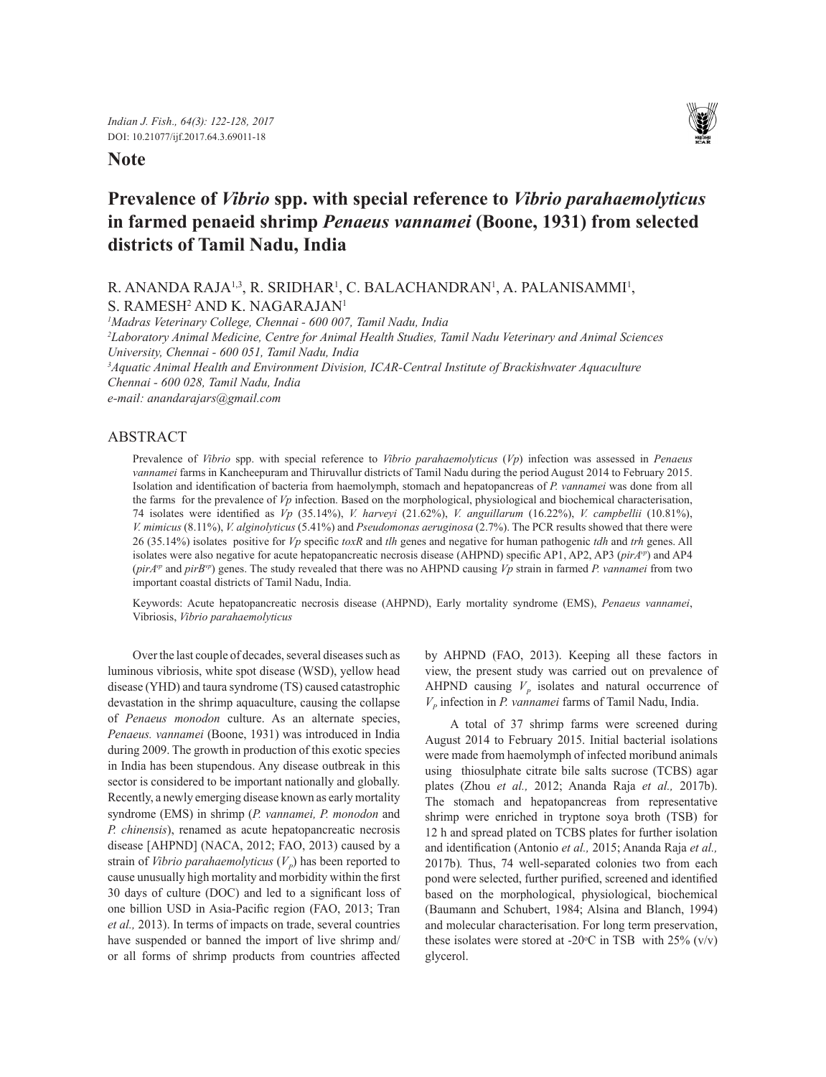## **Note**



# **Prevalence of** *Vibrio* **spp. with special reference to** *Vibrio parahaemolyticus* **in farmed penaeid shrimp** *Penaeus vannamei* **(Boone, 1931) from selected districts of Tamil Nadu, India**

R. ANANDA RAJA<sup>1,3</sup>, R. SRIDHAR<sup>1</sup>, C. BALACHANDRAN<sup>1</sup>, A. PALANISAMMI<sup>1</sup>, S. RAMESH<sup>2</sup> AND K. NAGARAJAN<sup>1</sup>

*1 Madras Veterinary College, Chennai - 600 007, Tamil Nadu, India* 

*2 Laboratory Animal Medicine, Centre for Animal Health Studies, Tamil Nadu Veterinary and Animal Sciences University, Chennai - 600 051, Tamil Nadu, India*

*3 Aquatic Animal Health and Environment Division, ICAR-Central Institute of Brackishwater Aquaculture Chennai - 600 028, Tamil Nadu, India*

*e-mail: anandarajars@gmail.com*

## ABSTRACT

Prevalence of *Vibrio* spp. with special reference to *Vibrio parahaemolyticus* (*Vp*) infection was assessed in *Penaeus vannamei* farms in Kancheepuram and Thiruvallur districts of Tamil Nadu during the period August 2014 to February 2015. Isolation and identification of bacteria from haemolymph, stomach and hepatopancreas of *P. vannamei* was done from all the farms for the prevalence of *Vp* infection. Based on the morphological, physiological and biochemical characterisation, 74 isolates were identified as *Vp* (35.14%), *V. harveyi* (21.62%), *V. anguillarum* (16.22%), *V. campbellii* (10.81%), *V. mimicus* (8.11%), *V. alginolyticus* (5.41%) and *Pseudomonas aeruginosa* (2.7%). The PCR results showed that there were 26 (35.14%) isolates positive for *Vp* specific *toxR* and *tlh* genes and negative for human pathogenic *tdh* and *trh* genes. All isolates were also negative for acute hepatopancreatic necrosis disease (AHPND) specific AP1, AP2, AP3 (*pirAvp*) and AP4 (*pirAvp* and *pirBvp*) genes. The study revealed that there was no AHPND causing *Vp* strain in farmed *P. vannamei* from two important coastal districts of Tamil Nadu, India.

Keywords: Acute hepatopancreatic necrosis disease (AHPND), Early mortality syndrome (EMS), *Penaeus vannamei*, Vibriosis, *Vibrio parahaemolyticus*

Over the last couple of decades, several diseases such as luminous vibriosis, white spot disease (WSD), yellow head disease (YHD) and taura syndrome (TS) caused catastrophic devastation in the shrimp aquaculture, causing the collapse of *Penaeus monodon* culture. As an alternate species, *Penaeus. vannamei* (Boone, 1931) was introduced in India during 2009. The growth in production of this exotic species in India has been stupendous. Any disease outbreak in this sector is considered to be important nationally and globally. Recently, a newly emerging disease known as early mortality syndrome (EMS) in shrimp (*P. vannamei, P. monodon* and *P. chinensis*), renamed as acute hepatopancreatic necrosis disease [AHPND] (NACA, 2012; FAO, 2013) caused by a strain of *Vibrio parahaemolyticus*  $(V_p)$  has been reported to cause unusually high mortality and morbidity within the first 30 days of culture (DOC) and led to a significant loss of one billion USD in Asia-Pacific region (FAO, 2013; Tran *et al.,* 2013). In terms of impacts on trade, several countries have suspended or banned the import of live shrimp and/ or all forms of shrimp products from countries affected by AHPND (FAO, 2013). Keeping all these factors in view, the present study was carried out on prevalence of AHPND causing  $V_p$  isolates and natural occurrence of *VP* infection in *P. vannamei* farms of Tamil Nadu, India.

A total of 37 shrimp farms were screened during August 2014 to February 2015. Initial bacterial isolations were made from haemolymph of infected moribund animals using thiosulphate citrate bile salts sucrose (TCBS) agar plates (Zhou *et al.,* 2012; Ananda Raja *et al.,* 2017b). The stomach and hepatopancreas from representative shrimp were enriched in tryptone soya broth (TSB) for 12 h and spread plated on TCBS plates for further isolation and identification (Antonio *et al.,* 2015; Ananda Raja *et al.,* 2017b)*.* Thus, 74 well-separated colonies two from each pond were selected, further purified, screened and identified based on the morphological, physiological, biochemical (Baumann and Schubert, 1984; Alsina and Blanch, 1994) and molecular characterisation. For long term preservation, these isolates were stored at -20 $\degree$ C in TSB with 25% (v/v) glycerol.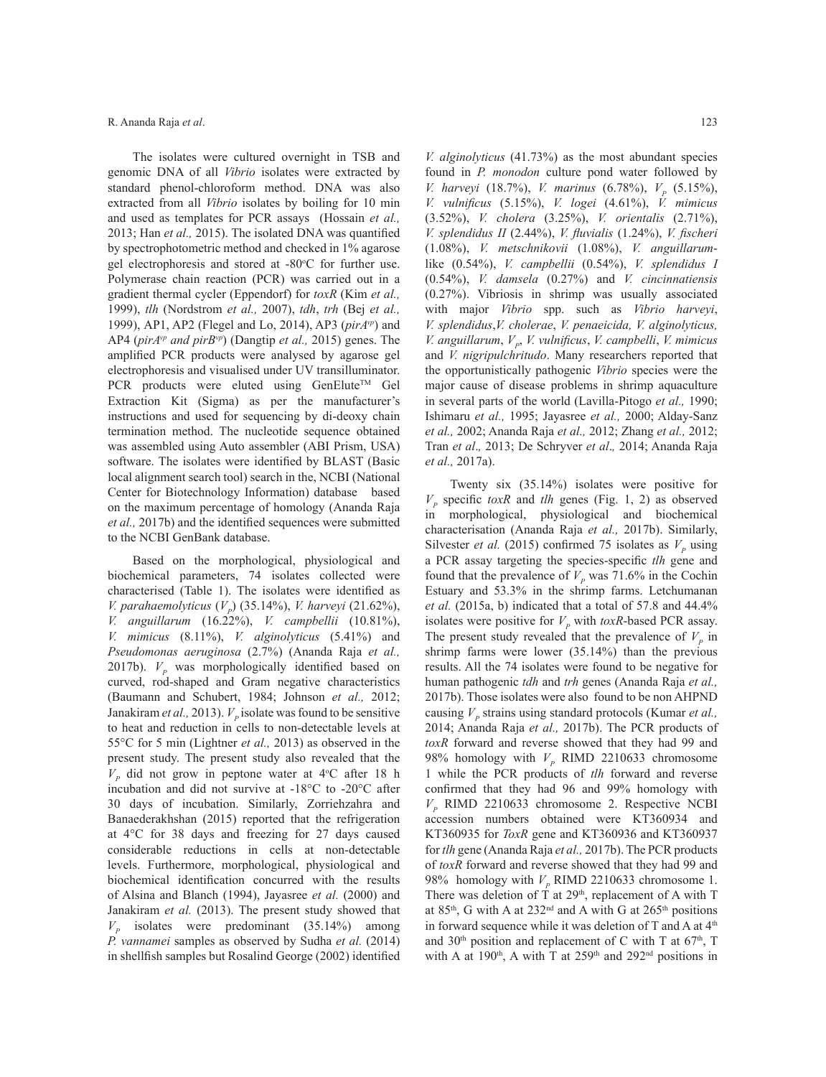The isolates were cultured overnight in TSB and genomic DNA of all *Vibrio* isolates were extracted by standard phenol-chloroform method. DNA was also extracted from all *Vibrio* isolates by boiling for 10 min and used as templates for PCR assays (Hossain *et al.,* 2013; Han *et al.,* 2015). The isolated DNA was quantified by spectrophotometric method and checked in 1% agarose gel electrophoresis and stored at  $-80^{\circ}$ C for further use. Polymerase chain reaction (PCR) was carried out in a gradient thermal cycler (Eppendorf) for *toxR* (Kim *et al.,*  1999), *tlh* (Nordstrom *et al.,* 2007), *tdh*, *trh* (Bej *et al.,*  1999), AP1, AP2 (Flegel and Lo, 2014), AP3 (*pirAvp*) and AP4 (*pirAvp and pirBvp*) (Dangtip *et al.,* 2015) genes. The amplified PCR products were analysed by agarose gel electrophoresis and visualised under UV transilluminator. PCR products were eluted using GenElute™ Gel Extraction Kit (Sigma) as per the manufacturer's instructions and used for sequencing by di-deoxy chain termination method. The nucleotide sequence obtained was assembled using Auto assembler (ABI Prism, USA) software. The isolates were identified by BLAST (Basic local alignment search tool) search in the, NCBI (National Center for Biotechnology Information) database based on the maximum percentage of homology (Ananda Raja *et al.,* 2017b) and the identified sequences were submitted to the NCBI GenBank database.

Based on the morphological, physiological and biochemical parameters, 74 isolates collected were characterised (Table 1). The isolates were identified as *V. parahaemolyticus*  $(V_p)$  (35.14%), *V. harveyi* (21.62%), *V. anguillarum* (16.22%), *V. campbellii* (10.81%), *V. mimicus* (8.11%), *V. alginolyticus* (5.41%) and *Pseudomonas aeruginosa* (2.7%) (Ananda Raja *et al.,* 2017b).  $V_p$  was morphologically identified based on curved, rod-shaped and Gram negative characteristics (Baumann and Schubert, 1984; Johnson *et al.,* 2012; Janakiram *et al.*, 2013).  $V_p$  isolate was found to be sensitive to heat and reduction in cells to non-detectable levels at 55°C for 5 min (Lightner *et al.,* 2013) as observed in the present study. The present study also revealed that the  $V_p$  did not grow in peptone water at 4°C after 18 h incubation and did not survive at -18°C to -20°C after 30 days of incubation. Similarly, Zorriehzahra and Banaederakhshan (2015) reported that the refrigeration at 4°C for 38 days and freezing for 27 days caused considerable reductions in cells at non-detectable levels. Furthermore, morphological, physiological and biochemical identification concurred with the results of Alsina and Blanch (1994), Jayasree *et al.* (2000) and Janakiram *et al.* (2013). The present study showed that  $V_p$  isolates were predominant (35.14%) among *P. vannamei* samples as observed by Sudha *et al.* (2014) in shellfish samples but Rosalind George (2002) identified

*V. alginolyticus* (41.73%) as the most abundant species found in *P. monodon* culture pond water followed by *V. harveyi* (18.7%), *V. marinus* (6.78%),  $V_p$  (5.15%), *V. vulnificus* (5.15%), *V. logei* (4.61%), *V. mimicus* (3.52%), *V. cholera* (3.25%), *V. orientalis* (2.71%), *V. splendidus II* (2.44%), *V. fluvialis* (1.24%), *V. fischeri*  (1.08%), *V. metschnikovii* (1.08%), *V. anguillarum*like (0.54%), *V. campbellii* (0.54%), *V. splendidus I*  (0.54%), *V. damsela* (0.27%) and *V. cincinnatiensis* (0.27%). Vibriosis in shrimp was usually associated with major *Vibrio* spp. such as *Vibrio harveyi*, *V. splendidus*,*V. cholerae*, *V. penaeicida, V. alginolyticus, V. anguillarum, V<sub>p</sub>, V. vulnificus, V. campbelli, V. mimicus* and *V. nigripulchritudo*. Many researchers reported that the opportunistically pathogenic *Vibrio* species were the major cause of disease problems in shrimp aquaculture in several parts of the world (Lavilla-Pitogo *et al.,* 1990; Ishimaru *et al.,* 1995; Jayasree *et al.,* 2000; Alday-Sanz *et al.,* 2002; Ananda Raja *et al.,* 2012; Zhang *et al.,* 2012; Tran *et al*.*,* 2013; De Schryver *et al*.*,* 2014; Ananda Raja *et al.,* 2017a).

Twenty six (35.14%) isolates were positive for  $V_p$  specific *toxR* and *tlh* genes (Fig. 1, 2) as observed in morphological, physiological and biochemical characterisation (Ananda Raja *et al.,* 2017b). Similarly, Silvester *et al.* (2015) confirmed 75 isolates as  $V_p$  using a PCR assay targeting the species-specific *tlh* gene and found that the prevalence of  $V_p$  was 71.6% in the Cochin Estuary and 53.3% in the shrimp farms. Letchumanan *et al.* (2015a, b) indicated that a total of 57.8 and 44.4% isolates were positive for  $V_p$  with toxR-based PCR assay. The present study revealed that the prevalence of  $V_p$  in shrimp farms were lower (35.14%) than the previous results. All the 74 isolates were found to be negative for human pathogenic *tdh* and *trh* genes (Ananda Raja *et al.,* 2017b). Those isolates were also found to be non AHPND causing  $V_p$  strains using standard protocols (Kumar *et al.*, 2014; Ananda Raja *et al.,* 2017b). The PCR products of *toxR* forward and reverse showed that they had 99 and 98% homology with  $V_p$  RIMD 2210633 chromosome 1 while the PCR products of *tlh* forward and reverse confirmed that they had 96 and 99% homology with  $V<sub>p</sub>$  RIMD 2210633 chromosome 2. Respective NCBI accession numbers obtained were KT360934 and KT360935 for *ToxR* gene and KT360936 and KT360937 for *tlh* gene (Ananda Raja *et al.,* 2017b). The PCR products of *toxR* forward and reverse showed that they had 99 and 98% homology with  $V_p$  RIMD 2210633 chromosome 1. There was deletion of  $\dot{T}$  at 29<sup>th</sup>, replacement of A with T at 85<sup>th</sup>, G with A at 232<sup>nd</sup> and A with G at 265<sup>th</sup> positions in forward sequence while it was deletion of T and A at  $4<sup>th</sup>$ and  $30<sup>th</sup>$  position and replacement of C with T at  $67<sup>th</sup>$ , T with A at 190<sup>th</sup>, A with T at 259<sup>th</sup> and 292<sup>nd</sup> positions in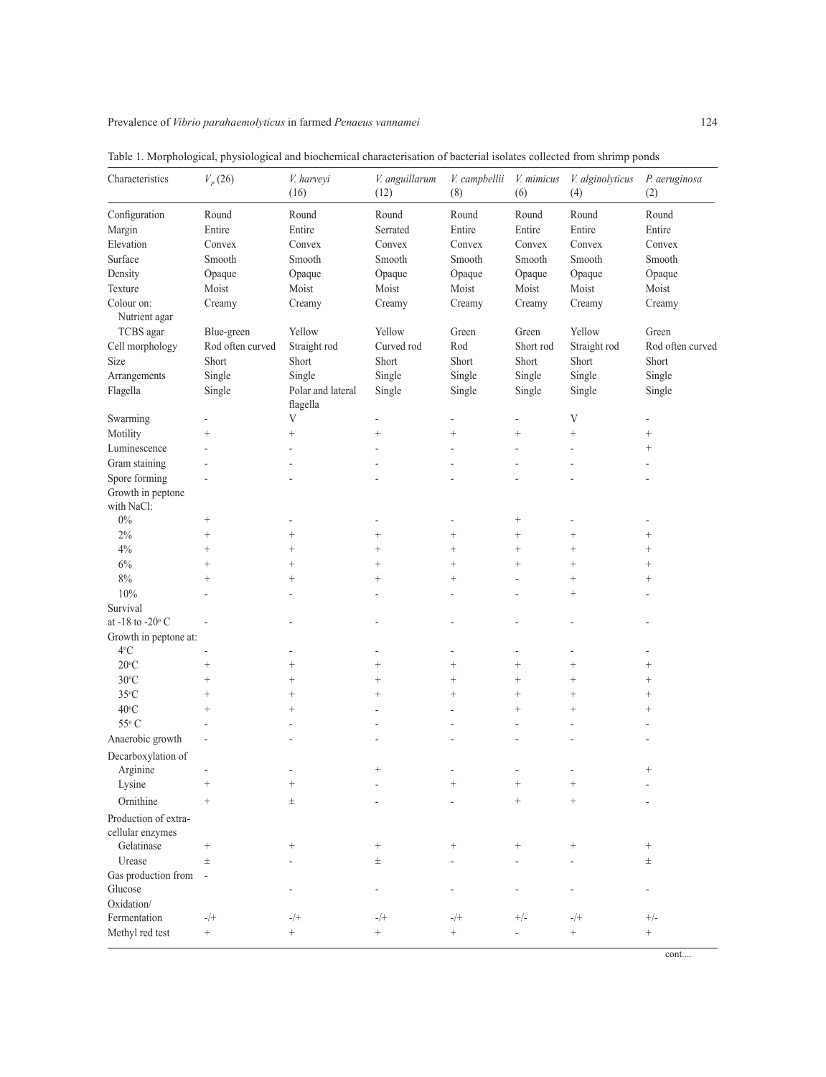| Characteristics                          | $V_p(26)$                | V. harveyi<br>(16)            | V. anguillarum<br>(12)    | V. campbellii<br>(8)       | V. mimicus<br>(6)        | V. alginolyticus<br>(4) | P. aeruginosa<br>(2) |
|------------------------------------------|--------------------------|-------------------------------|---------------------------|----------------------------|--------------------------|-------------------------|----------------------|
| Configuration                            | Round                    | Round                         | Round                     | Round                      | Round                    | Round                   | Round                |
| Margin                                   | Entire                   | Entire                        | Serrated                  | Entire                     | Entire                   | Entire                  | Entire               |
| Elevation                                | Convex                   | Convex                        | Convex                    | Convex                     | Convex                   | Convex                  | Convex               |
| Surface                                  | Smooth                   | Smooth                        | Smooth                    | Smooth                     | Smooth                   | Smooth                  | Smooth               |
| Density                                  | Opaque                   | Opaque                        | Opaque                    | Opaque                     | Opaque                   | Opaque                  | Opaque               |
| Texture                                  | Moist                    | Moist                         | Moist                     | Moist                      | Moist                    | Moist                   | Moist                |
| Colour on:<br>Nutrient agar              | Creamy                   | Creamy                        | Creamy                    | Creamy                     | Creamy                   | Creamy                  | Creamy               |
| TCBS agar                                | Blue-green               | Yellow                        | Yellow                    | Green                      | Green                    | Yellow                  | Green                |
| Cell morphology                          | Rod often curved         | Straight rod                  | Curved rod                | Rod                        | Short rod                | Straight rod            | Rod often curved     |
| Size                                     | Short                    | Short                         | Short                     | Short                      | Short                    | Short                   | Short                |
| Arrangements                             | Single                   | Single                        | Single                    | Single                     | Single                   | Single                  | Single               |
| Flagella                                 | Single                   | Polar and lateral<br>flagella | Single                    | Single                     | Single                   | Single                  | Single               |
| Swarming                                 | $\overline{a}$           | $\mathbf V$                   | $\overline{a}$            | $\overline{\phantom{a}}$   | $\overline{\phantom{a}}$ | V                       | $\overline{a}$       |
| Motility                                 |                          | $^{+}$                        | $^{+}$                    | $\! + \!$                  |                          | $^{+}$                  | $\! + \!$            |
| Luminescence                             |                          |                               |                           |                            | $\overline{a}$           | L,                      | $\hspace{0.1mm} +$   |
| Gram staining                            |                          |                               |                           |                            |                          |                         |                      |
| Spore forming                            |                          |                               |                           |                            |                          |                         |                      |
| Growth in peptone<br>with NaCl:          |                          |                               |                           |                            |                          |                         |                      |
| $0\%$                                    | $^{+}$                   |                               |                           |                            |                          |                         |                      |
| 2%                                       | $^{+}$                   | $^{+}$                        | $^{+}$                    | $\qquad \qquad +$          | $^{+}$                   | $^{+}$                  | $^{+}$               |
| $4\%$                                    | $^{+}$                   | $^{+}$                        | $^{+}$                    | $^{+}$                     | $^{+}$                   | $\! +$                  | $^{+}$               |
| $6\%$                                    | $^{+}$                   | $^{+}$                        | $^{+}$                    | $\! + \!$                  | $\! + \!$                | $^{+}$                  | $\hspace{0.1mm} +$   |
| $8\%$                                    | $^{+}$                   | $^{+}$                        | $^{+}$                    | $^+$                       | $\overline{\phantom{a}}$ | $^{+}$                  | $\! + \!$            |
| 10%                                      |                          |                               |                           | ÷,                         | $\overline{a}$           | $^{+}$                  |                      |
| Survival                                 |                          |                               |                           |                            |                          |                         |                      |
| at -18 to -20 $\rm ^{\circ}$ C           |                          |                               |                           |                            |                          |                         |                      |
| Growth in peptone at:<br>$4^{\circ}$ C   |                          |                               |                           |                            |                          |                         |                      |
| $20^{\circ}$ C                           | $\hspace{0.1mm} +$       | $^{+}$                        | $^{+}$                    | $^{+}$                     | $^{+}$                   | $^{+}$                  | $^{+}$               |
| $30^{\circ}$ C                           | $\hspace{0.1mm} +$       | $\! + \!$                     | $\hspace{0.1mm} +$        | $\! + \!$                  | $\! + \!$                | $\! + \!$               | $\hspace{0.1mm} +$   |
| $35^{\circ}$ C                           | $^{+}$                   | $^{+}$                        | $\! + \!$                 | $^{+}$                     | $\! + \!$                | $^{+}$                  | $\hspace{0.1mm} +$   |
| $40^{\circ}$ C                           | $^{+}$                   | $^{+}$                        |                           |                            | $^{+}$                   | $^{+}$                  | $^{+}$               |
| 55° C                                    | L,                       | ٠                             | ÷,                        | $\overline{\phantom{a}}$   | $\overline{\phantom{a}}$ | $\overline{a}$          |                      |
| Anaerobic growth                         |                          |                               | ۰                         |                            |                          |                         |                      |
| Decarboxylation of<br>Arginine           |                          | ٠                             | $^{+}$                    |                            |                          |                         | $^{+}$               |
| Lysine                                   | $^{+}$                   | $^{+}$                        |                           | $\qquad \qquad +$          | $^{+}$                   | $^{+}$                  |                      |
| Ornithine                                | $^{+}$                   | Ŧ                             |                           |                            | $^{+}$                   | $\qquad \qquad +$       |                      |
| Production of extra-<br>cellular enzymes |                          |                               |                           |                            |                          |                         |                      |
| Gelatinase                               | $^{+}$                   | $^{+}$                        | $^{+}$                    | $^{+}$                     | $^{+}$                   | $\! + \!\!\!\!$         | $^{+}$               |
| Urease                                   | $\pm$                    |                               | $_{\pm}$                  |                            |                          |                         | $_{\pm}$             |
| Gas production from<br>Glucose           | $\overline{\phantom{a}}$ |                               | $\overline{a}$            |                            |                          |                         |                      |
| Oxidation/                               |                          |                               |                           |                            |                          |                         |                      |
| Fermentation<br>Methyl red test          | $-/+$<br>$^+$            | $-/+$<br>$\boldsymbol{+}$     | $-/+$<br>$\boldsymbol{+}$ | $-/+$<br>$\qquad \qquad +$ | $+/-$                    | $-/+$<br>$^+$           | $+/-$<br>$^+$        |

Table 1. Morphological, physiological and biochemical characterisation of bacterial isolates collected from shrimp ponds

cont....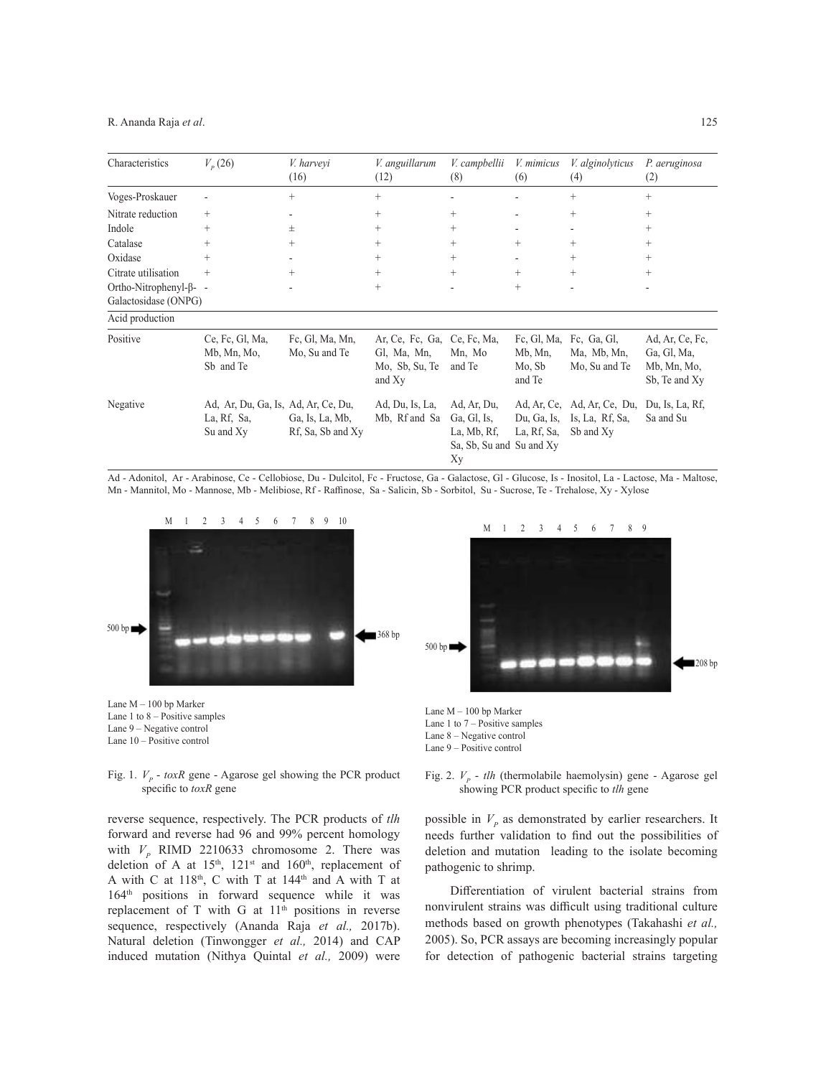#### R. Ananda Raja *et al*.

| Characteristics                                      | $V_p(26)$                                                       | <i>V.</i> harveyi<br>(16)            | <i>V. anguillarum</i><br>(12)                              | V. campbellii<br>(8)                                                        | <i>V. mimicus</i><br>(6)                   | V. alginolyticus<br>(4)                                     | P. aeruginosa<br>(2)                                           |
|------------------------------------------------------|-----------------------------------------------------------------|--------------------------------------|------------------------------------------------------------|-----------------------------------------------------------------------------|--------------------------------------------|-------------------------------------------------------------|----------------------------------------------------------------|
| Voges-Proskauer                                      | $\overline{\phantom{a}}$                                        | $^{+}$                               | $^{+}$                                                     | $\qquad \qquad \blacksquare$                                                | $\overline{\phantom{a}}$                   | $+$                                                         | $^{+}$                                                         |
| Nitrate reduction                                    | $^{+}$                                                          | $\overline{\phantom{0}}$             | $^{+}$                                                     | $^{+}$                                                                      | $\overline{\phantom{a}}$                   | $+$                                                         | $^{+}$                                                         |
| Indole                                               | $^{+}$                                                          | $_{\pm}$                             | $^{+}$                                                     | $^{+}$                                                                      | $\overline{\phantom{a}}$                   | $\overline{\phantom{a}}$                                    | $^{+}$                                                         |
| Catalase                                             | $^{+}$                                                          | $^{+}$                               | $^{+}$                                                     | $^{+}$                                                                      | $^{+}$                                     | $^{+}$                                                      | $^{+}$                                                         |
| Oxidase                                              | $^{+}$                                                          |                                      | $^{+}$                                                     | $^{+}$                                                                      | $\blacksquare$                             | $+$                                                         | $^{+}$                                                         |
| Citrate utilisation                                  | $^{+}$                                                          | $^{+}$                               | $^{+}$                                                     | $^{+}$                                                                      | $^{+}$                                     | $+$                                                         | $^{+}$                                                         |
| Ortho-Nitrophenyl- $\beta$ -<br>Galactosidase (ONPG) |                                                                 | $\overline{\phantom{a}}$             | $^{+}$                                                     | $\overline{\phantom{a}}$                                                    | $^{+}$                                     | $\overline{a}$                                              | $\overline{\phantom{a}}$                                       |
| Acid production                                      |                                                                 |                                      |                                                            |                                                                             |                                            |                                                             |                                                                |
| Positive                                             | Ce, Fc, Gl, Ma,<br>Mb, Mn, Mo,<br>Sb and Te                     | Fc, Gl, Ma, Mn,<br>Mo, Su and Te     | Ar, Ce, Fc, Ga,<br>Gl, Ma, Mn,<br>Mo, Sb, Su, Te<br>and Xy | Ce, Fc, Ma,<br>Mn, Mo<br>and Te                                             | Fc, Gl, Ma,<br>Mb, Mn,<br>Mo, Sb<br>and Te | Fc, Ga, Gl,<br>Ma, Mb, Mn,<br>Mo, Su and Te                 | Ad, Ar, Ce, Fc,<br>Ga, Gl, Ma,<br>Mb, Mn, Mo,<br>Sb, Te and Xy |
| Negative                                             | Ad, Ar, Du, Ga, Is, Ad, Ar, Ce, Du,<br>La, Rf, Sa,<br>Su and Xy | Ga, Is, La, Mb,<br>Rf, Sa, Sb and Xy | Ad, Du, Is, La,<br>Mb, Rf and Sa                           | Ad, Ar, Du,<br>Ga, Gl, Is,<br>La, Mb, Rf,<br>Sa, Sb, Su and Su and Xy<br>Xу | Du, Ga, Is,<br>La, Rf, Sa,                 | Ad, Ar, Ce, Ad, Ar, Ce, Du,<br>Is, La, Rf, Sa,<br>Sb and Xy | Du, Is, La, Rf,<br>Sa and Su                                   |

Ad - Adonitol, Ar - Arabinose, Ce - Cellobiose, Du - Dulcitol, Fc - Fructose, Ga - Galactose, Gl - Glucose, Is - Inositol, La - Lactose, Ma - Maltose, Mn - Mannitol, Mo - Mannose, Mb - Melibiose, Rf - Raffinose, Sa - Salicin, Sb - Sorbitol, Su - Sucrose, Te - Trehalose, Xy - Xylose





Fig. 1.  $V_p$  - *toxR* gene - Agarose gel showing the PCR product specific to *toxR* gene

reverse sequence, respectively. The PCR products of *tlh* forward and reverse had 96 and 99% percent homology with  $V_p$  RIMD 2210633 chromosome 2. There was deletion of A at  $15<sup>th</sup>$ ,  $121<sup>st</sup>$  and  $160<sup>th</sup>$ , replacement of A with C at  $118<sup>th</sup>$ , C with T at  $144<sup>th</sup>$  and A with T at 164th positions in forward sequence while it was replacement of T with G at  $11<sup>th</sup>$  positions in reverse sequence, respectively (Ananda Raja *et al.,* 2017b). Natural deletion (Tinwongger *et al.,* 2014) and CAP induced mutation (Nithya Quintal *et al.,* 2009) were



Lane M – 100 bp Marker Lane 1 to 7 – Positive samples Lane 8 – Negative control Lane 9 – Positive control



possible in  $V_p$  as demonstrated by earlier researchers. It needs further validation to find out the possibilities of deletion and mutation leading to the isolate becoming pathogenic to shrimp.

Differentiation of virulent bacterial strains from nonvirulent strains was difficult using traditional culture methods based on growth phenotypes (Takahashi *et al.,* 2005). So, PCR assays are becoming increasingly popular for detection of pathogenic bacterial strains targeting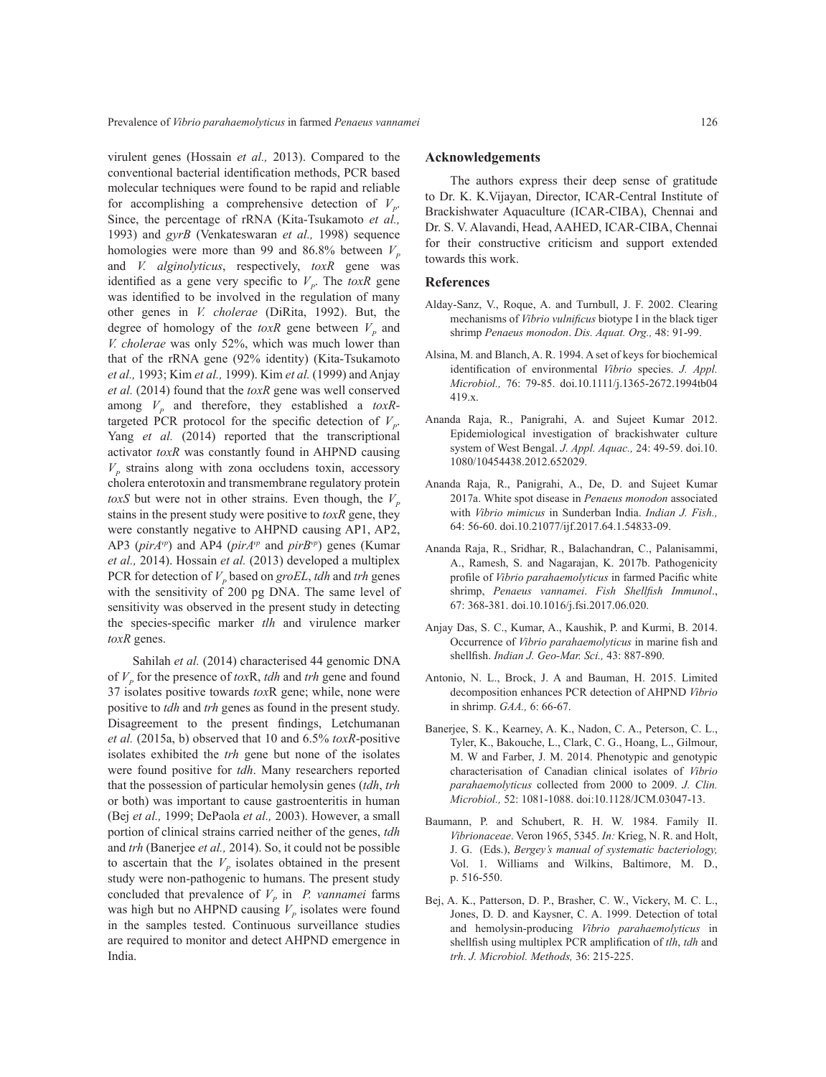virulent genes (Hossain *et al.,* 2013). Compared to the conventional bacterial identification methods, PCR based molecular techniques were found to be rapid and reliable for accomplishing a comprehensive detection of  $V_p$ . Since, the percentage of rRNA (Kita-Tsukamoto *et al.,* 1993) and *gyrB* (Venkateswaran *et al.,* 1998) sequence homologies were more than 99 and 86.8% between  $V_p$ and *V. alginolyticus*, respectively, *toxR* gene was identified as a gene very specific to  $V_p$ . The *toxR* gene was identified to be involved in the regulation of many other genes in *V. cholerae* (DiRita, 1992). But, the degree of homology of the  $toxR$  gene between  $V_p$  and *V. cholerae* was only 52%, which was much lower than that of the rRNA gene (92% identity) (Kita-Tsukamoto *et al.,* 1993; Kim *et al.,* 1999). Kim *et al.* (1999) and Anjay *et al.* (2014) found that the *toxR* gene was well conserved among  $V_p$  and therefore, they established a  $toxR$ targeted PCR protocol for the specific detection of  $V_p$ . Yang *et al.* (2014) reported that the transcriptional activator *toxR* was constantly found in AHPND causing  $V<sub>p</sub>$  strains along with zona occludens toxin, accessory cholera enterotoxin and transmembrane regulatory protein *toxS* but were not in other strains. Even though, the  $V_p$ stains in the present study were positive to *toxR* gene, they were constantly negative to AHPND causing AP1, AP2, AP3 (*pirAvp*) and AP4 (*pirAvp* and *pirBvp*) genes (Kumar *et al.,* 2014). Hossain *et al.* (2013) developed a multiplex PCR for detection of  $V_p$  based on *groEL*, *tdh* and *trh* genes with the sensitivity of 200 pg DNA. The same level of sensitivity was observed in the present study in detecting the species-specific marker *tlh* and virulence marker *toxR* genes.

Sahilah et al. (2014) characterised 44 genomic DNA of *VP* for the presence of *tox*R, *tdh* and *trh* gene and found 37 isolates positive towards *tox*R gene; while, none were positive to *tdh* and *trh* genes as found in the present study. Disagreement to the present findings, Letchumanan *et al.* (2015a, b) observed that 10 and 6.5% *toxR*-positive isolates exhibited the *trh* gene but none of the isolates were found positive for *tdh*. Many researchers reported that the possession of particular hemolysin genes (*tdh*, *trh* or both) was important to cause gastroenteritis in human (Bej *et al.,* 1999; DePaola *et al.,* 2003). However, a small portion of clinical strains carried neither of the genes, *tdh*  and *trh* (Banerjee *et al.,* 2014). So, it could not be possible to ascertain that the  $V_p$  isolates obtained in the present study were non-pathogenic to humans. The present study concluded that prevalence of  $V_p$  in *P. vannamei* farms was high but no AHPND causing  $V_p$  isolates were found in the samples tested. Continuous surveillance studies are required to monitor and detect AHPND emergence in India.

### **Acknowledgements**

The authors express their deep sense of gratitude to Dr. K. K.Vijayan, Director, ICAR-Central Institute of Brackishwater Aquaculture (ICAR-CIBA), Chennai and Dr. S. V. Alavandi, Head, AAHED, ICAR-CIBA, Chennai for their constructive criticism and support extended towards this work.

#### **References**

- Alday-Sanz, V., Roque, A. and Turnbull, J. F. 2002. Clearing mechanisms of *Vibrio vulnificus* biotype I in the black tiger shrimp *Penaeus monodon*. *Dis. Aquat. Org.,* 48: 91-99.
- Alsina, M. and Blanch, A. R. 1994. A set of keys for biochemical identification of environmental *Vibrio* species. *J. Appl. Microbiol.,* 76: 79-85. doi.10.1111/j.1365-2672.1994tb04 419.x.
- Ananda Raja, R., Panigrahi, A. and Sujeet Kumar 2012. Epidemiological investigation of brackishwater culture system of West Bengal. *J. Appl. Aquac.,* 24: 49-59. doi.10. 1080/10454438.2012.652029.
- Ananda Raja, R., Panigrahi, A., De, D. and Sujeet Kumar 2017a. White spot disease in *Penaeus monodon* associated with *Vibrio mimicus* in Sunderban India. *Indian J. Fish.,* 64: 56-60. doi.10.21077/ijf.2017.64.1.54833-09.
- Ananda Raja, R., Sridhar, R., Balachandran, C., Palanisammi, A., Ramesh, S. and Nagarajan, K. 2017b. Pathogenicity profile of *Vibrio parahaemolyticus* in farmed Pacific white shrimp, *Penaeus vannamei*. *Fish Shellfish Immunol*., 67: 368-381. doi.10.1016/j.fsi.2017.06.020.
- Anjay Das, S. C., Kumar, A., Kaushik, P. and Kurmi, B. 2014. Occurrence of *Vibrio parahaemolyticus* in marine fish and shellfish. *Indian J. Geo-Mar. Sci.,* 43: 887-890.
- Antonio, N. L., Brock, J. A and Bauman, H. 2015. Limited decomposition enhances PCR detection of AHPND *Vibrio*  in shrimp. *GAA.,* 6: 66-67.
- Banerjee, S. K., Kearney, A. K., Nadon, C. A., Peterson, C. L., Tyler, K., Bakouche, L., Clark, C. G., Hoang, L., Gilmour, M. W and Farber, J. M. 2014. Phenotypic and genotypic characterisation of Canadian clinical isolates of *Vibrio parahaemolyticus* collected from 2000 to 2009. *J. Clin. Microbiol.,* 52: 1081-1088. doi:10.1128/JCM.03047-13.
- Baumann, P. and Schubert, R. H. W. 1984. Family II. *Vibrionaceae*. Veron 1965, 5345. *In:* Krieg, N. R. and Holt, J. G. (Eds.), *Bergey's manual of systematic bacteriology,*  Vol. 1. Williams and Wilkins, Baltimore, M. D., p. 516-550.
- Bej, A. K., Patterson, D. P., Brasher, C. W., Vickery, M. C. L., Jones, D. D. and Kaysner, C. A. 1999. Detection of total and hemolysin-producing *Vibrio parahaemolyticus* in shellfish using multiplex PCR amplification of *tlh*, *tdh* and *trh*. *J. Microbiol. Methods,* 36: 215-225.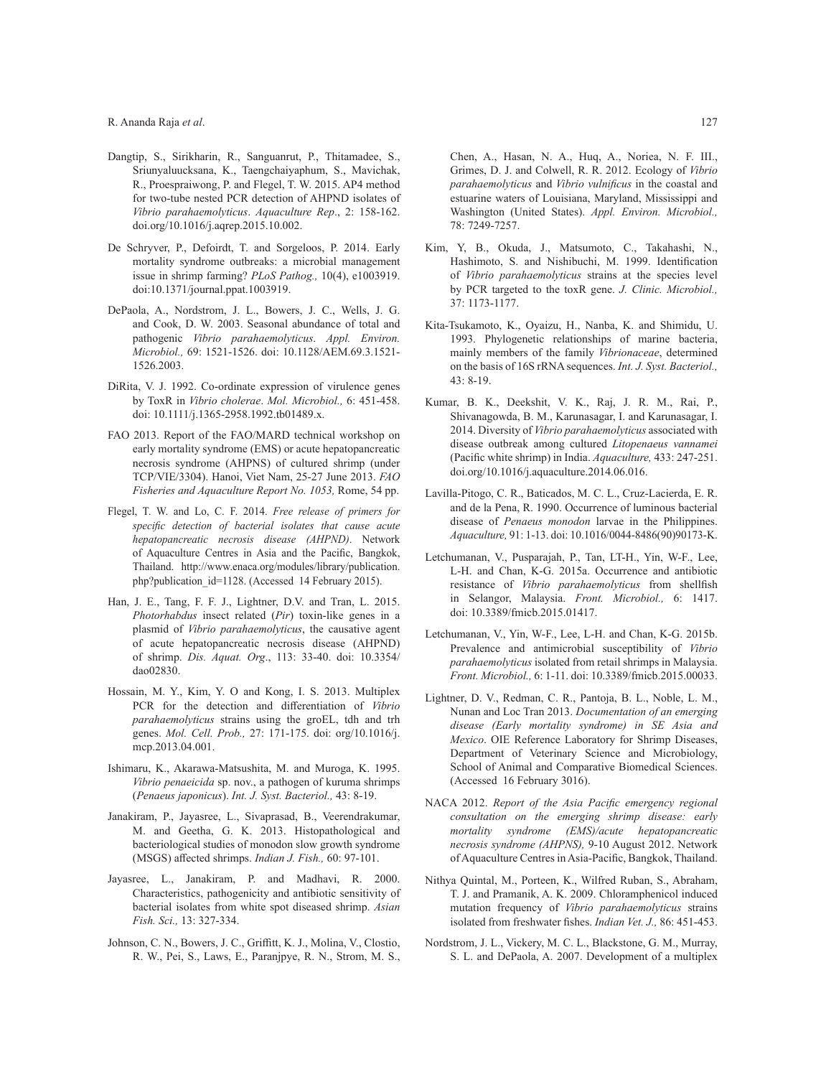#### R. Ananda Raja *et al*.

- Dangtip, S., Sirikharin, R., Sanguanrut, P., Thitamadee, S., Sriunyaluucksana, K., Taengchaiyaphum, S., Mavichak, R., Proespraiwong, P. and Flegel, T. W. 2015. AP4 method for two-tube nested PCR detection of AHPND isolates of *Vibrio parahaemolyticus*. *Aquaculture Rep*., 2: 158-162. doi.org/10.1016/j.aqrep.2015.10.002.
- De Schryver, P., Defoirdt, T. and Sorgeloos, P. 2014. Early mortality syndrome outbreaks: a microbial management issue in shrimp farming? *PLoS Pathog.,* 10(4), e1003919. doi:10.1371/journal.ppat.1003919.
- DePaola, A., Nordstrom, J. L., Bowers, J. C., Wells, J. G. and Cook, D. W. 2003. Seasonal abundance of total and pathogenic *Vibrio parahaemolyticus*. *Appl. Environ. Microbiol.,* 69: 1521-1526. doi: 10.1128/AEM.69.3.1521- 1526.2003.
- DiRita, V. J. 1992. Co-ordinate expression of virulence genes by ToxR in *Vibrio cholerae*. *Mol. Microbiol.,* 6: 451-458. doi: 10.1111/j.1365-2958.1992.tb01489.x.
- FAO 2013. Report of the FAO/MARD technical workshop on early mortality syndrome (EMS) or acute hepatopancreatic necrosis syndrome (AHPNS) of cultured shrimp (under TCP/VIE/3304). Hanoi, Viet Nam, 25-27 June 2013. *FAO Fisheries and Aquaculture Report No. 1053,* Rome, 54 pp.
- Flegel, T. W. and Lo, C. F. 2014. *Free release of primers for specific detection of bacterial isolates that cause acute hepatopancreatic necrosis disease (AHPND)*. Network of Aquaculture Centres in Asia and the Pacific, Bangkok, Thailand. http://www.enaca.org/modules/library/publication. php?publication\_id=1128. (Accessed 14 February 2015).
- Han, J. E., Tang, F. F. J., Lightner, D.V. and Tran, L. 2015. *Photorhabdus* insect related (*Pir*) toxin-like genes in a plasmid of *Vibrio parahaemolyticus*, the causative agent of acute hepatopancreatic necrosis disease (AHPND) of shrimp. *Dis. Aquat. Org*., 113: 33-40. doi: 10.3354/ dao02830.
- Hossain, M. Y., Kim, Y. O and Kong, I. S. 2013. Multiplex PCR for the detection and differentiation of *Vibrio parahaemolyticus* strains using the groEL, tdh and trh genes. *Mol. Cell. Prob.,* 27: 171-175. doi: org/10.1016/j. mcp.2013.04.001.
- Ishimaru, K., Akarawa-Matsushita, M. and Muroga, K. 1995. *Vibrio penaeicida* sp. nov., a pathogen of kuruma shrimps (*Penaeus japonicus*). *Int. J. Syst. Bacteriol.,* 43: 8-19.
- Janakiram, P., Jayasree, L., Sivaprasad, B., Veerendrakumar, M. and Geetha, G. K. 2013. Histopathological and bacteriological studies of monodon slow growth syndrome (MSGS) affected shrimps. *Indian J. Fish.,* 60: 97-101.
- Jayasree, L., Janakiram, P. and Madhavi, R. 2000. Characteristics, pathogenicity and antibiotic sensitivity of bacterial isolates from white spot diseased shrimp. *Asian Fish. Sci.,* 13: 327-334.
- Johnson, C. N., Bowers, J. C., Griffitt, K. J., Molina, V., Clostio, R. W., Pei, S., Laws, E., Paranjpye, R. N., Strom, M. S.,

Chen, A., Hasan, N. A., Huq, A., Noriea, N. F. III., Grimes, D. J. and Colwell, R. R. 2012. Ecology of *Vibrio parahaemolyticus* and *Vibrio vulnificus* in the coastal and estuarine waters of Louisiana, Maryland, Mississippi and Washington (United States). *Appl. Environ. Microbiol.,* 78: 7249-7257.

- Kim, Y, B., Okuda, J., Matsumoto, C., Takahashi, N., Hashimoto, S. and Nishibuchi, M. 1999. Identification of *Vibrio parahaemolyticus* strains at the species level by PCR targeted to the toxR gene. *J. Clinic. Microbiol.,* 37: 1173-1177.
- Kita-Tsukamoto, K., Oyaizu, H., Nanba, K. and Shimidu, U. 1993. Phylogenetic relationships of marine bacteria, mainly members of the family *Vibrionaceae*, determined on the basis of 16S rRNA sequences. *Int. J. Syst. Bacteriol.,* 43: 8-19.
- Kumar, B. K., Deekshit, V. K., Raj, J. R. M., Rai, P., Shivanagowda, B. M., Karunasagar, I. and Karunasagar, I. 2014. Diversity of *Vibrio parahaemolyticus* associated with disease outbreak among cultured *Litopenaeus vannamei* (Pacific white shrimp) in India. *Aquaculture,* 433: 247-251. doi.org/10.1016/j.aquaculture.2014.06.016.
- Lavilla-Pitogo, C. R., Baticados, M. C. L., Cruz-Lacierda, E. R. and de la Pena, R. 1990. Occurrence of luminous bacterial disease of *Penaeus monodon* larvae in the Philippines. *Aquaculture,* 91: 1-13. doi: 10.1016/0044-8486(90)90173-K.
- Letchumanan, V., Pusparajah, P., Tan, LT-H., Yin, W-F., Lee, L-H. and Chan, K-G. 2015a. Occurrence and antibiotic resistance of *Vibrio parahaemolyticus* from shellfish in Selangor, Malaysia. *Front. Microbiol.,* 6: 1417. doi: 10.3389/fmicb.2015.01417.
- Letchumanan, V., Yin, W-F., Lee, L-H. and Chan, K-G. 2015b. Prevalence and antimicrobial susceptibility of *Vibrio parahaemolyticus* isolated from retail shrimps in Malaysia. *Front. Microbiol.,* 6: 1-11. doi: 10.3389/fmicb.2015.00033.
- Lightner, D. V., Redman, C. R., Pantoja, B. L., Noble, L. M., Nunan and Loc Tran 2013. *Documentation of an emerging disease (Early mortality syndrome) in SE Asia and Mexico*. OIE Reference Laboratory for Shrimp Diseases, Department of Veterinary Science and Microbiology, School of Animal and Comparative Biomedical Sciences. (Accessed 16 February 3016).
- NACA 2012. *Report of the Asia Pacific emergency regional consultation on the emerging shrimp disease: early mortality syndrome (EMS)/acute hepatopancreatic necrosis syndrome (AHPNS),* 9-10 August 2012. Network of Aquaculture Centres in Asia-Pacific, Bangkok, Thailand.
- Nithya Quintal, M., Porteen, K., Wilfred Ruban, S., Abraham, T. J. and Pramanik, A. K. 2009. Chloramphenicol induced mutation frequency of *Vibrio parahaemolyticus* strains isolated from freshwater fishes. *Indian Vet. J.,* 86: 451-453.
- Nordstrom, J. L., Vickery, M. C. L., Blackstone, G. M., Murray, S. L. and DePaola, A. 2007. Development of a multiplex